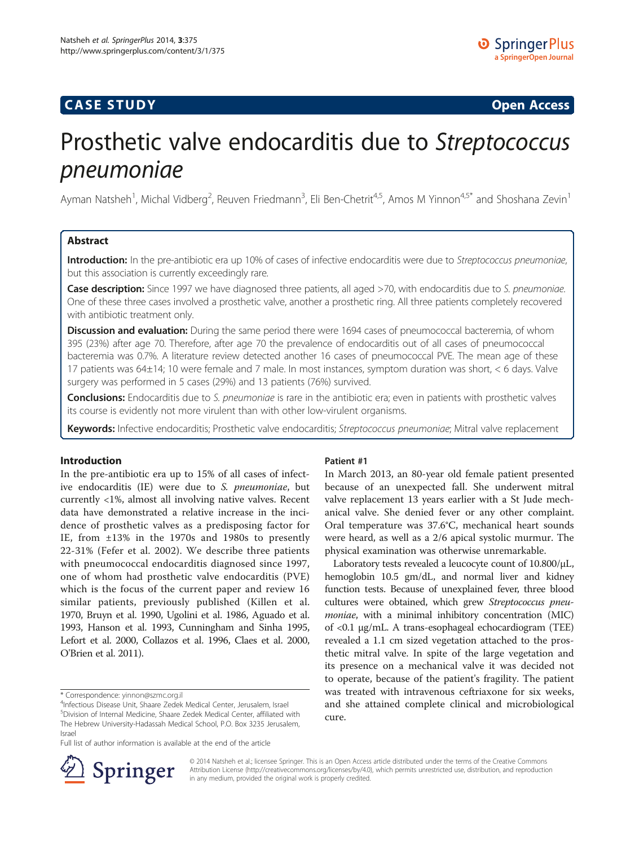# **CASE STUDY CASE STUDY Open Access**

# Prosthetic valve endocarditis due to Streptococcus<br>pneumoniae

**r**<br>Ayman Natsheh<sup>1</sup>, Michal Vidberg<sup>2</sup>, Reuven Friedmann<sup>3</sup>, Eli Ben-Chetrit<sup>4,5</sup>, Amos M Yinnon<sup>4,5\*</sup> and Shoshana Zevin<sup>1</sup>

## Abstract

Introduction: In the pre-antibiotic era up 10% of cases of infective endocarditis were due to Streptococcus pneumoniae, but this association is currently exceedingly rare.

Case description: Since 1997 we have diagnosed three patients, all aged >70, with endocarditis due to S. pneumoniae. One of these three cases involved a prosthetic valve, another a prosthetic ring. All three patients completely recovered with antibiotic treatment only.

Discussion and evaluation: During the same period there were 1694 cases of pneumococcal bacteremia, of whom 395 (23%) after age 70. Therefore, after age 70 the prevalence of endocarditis out of all cases of pneumococcal bacteremia was 0.7%. A literature review detected another 16 cases of pneumococcal PVE. The mean age of these 17 patients was 64±14; 10 were female and 7 male. In most instances, symptom duration was short, < 6 days. Valve surgery was performed in 5 cases (29%) and 13 patients (76%) survived.

**Conclusions:** Endocarditis due to S. pneumoniae is rare in the antibiotic era; even in patients with prosthetic valves its course is evidently not more virulent than with other low-virulent organisms.

Keywords: Infective endocarditis; Prosthetic valve endocarditis; Streptococcus pneumoniae; Mitral valve replacement

### Introduction

In the pre-antibiotic era up to 15% of all cases of infective endocarditis (IE) were due to S. pneumoniae, but currently <1%, almost all involving native valves. Recent data have demonstrated a relative increase in the incidence of prosthetic valves as a predisposing factor for IE, from ±13% in the 1970s and 1980s to presently 22-31% (Fefer et al. [2002](#page-3-0)). We describe three patients with pneumococcal endocarditis diagnosed since 1997, one of whom had prosthetic valve endocarditis (PVE) which is the focus of the current paper and review 16 similar patients, previously published (Killen et al. [1970,](#page-3-0) Bruyn et al. [1990,](#page-3-0) Ugolini et al. [1986,](#page-3-0) Aguado et al. [1993,](#page-3-0) Hanson et al. [1993](#page-3-0), Cunningham and Sinha [1995](#page-3-0), Lefort et al. [2000,](#page-3-0) Collazos et al. [1996](#page-3-0), Claes et al. [2000](#page-3-0), O'Brien et al. [2011\)](#page-3-0).

Full list of author information is available at the end of the article



#### Patient #1

In March 2013, an 80-year old female patient presented because of an unexpected fall. She underwent mitral valve replacement 13 years earlier with a St Jude mechanical valve. She denied fever or any other complaint. Oral temperature was 37.6°C, mechanical heart sounds were heard, as well as a 2/6 apical systolic murmur. The physical examination was otherwise unremarkable.

Laboratory tests revealed a leucocyte count of 10.800/μL, hemoglobin 10.5 gm/dL, and normal liver and kidney function tests. Because of unexplained fever, three blood cultures were obtained, which grew Streptococcus pneumoniae, with a minimal inhibitory concentration (MIC) of <0.1 μg/mL. A trans-esophageal echocardiogram (TEE) revealed a 1.1 cm sized vegetation attached to the prosthetic mitral valve. In spite of the large vegetation and its presence on a mechanical valve it was decided not to operate, because of the patient's fragility. The patient was treated with intravenous ceftriaxone for six weeks, and she attained complete clinical and microbiological cure.

© 2014 Natsheh et al.; licensee Springer. This is an Open Access article distributed under the terms of the Creative Commons Attribution License [\(http://creativecommons.org/licenses/by/4.0\)](http://creativecommons.org/licenses/by/4.0), which permits unrestricted use, distribution, and reproduction in any medium, provided the original work is properly credited.

<sup>\*</sup> Correspondence: [yinnon@szmc.org.il](mailto:yinnon@szmc.org.il) <sup>4</sup>

<sup>&</sup>lt;sup>4</sup>Infectious Disease Unit, Shaare Zedek Medical Center, Jerusalem, Israel 5 Division of Internal Medicine, Shaare Zedek Medical Center, affiliated with The Hebrew University-Hadassah Medical School, P.O. Box 3235 Jerusalem, Israel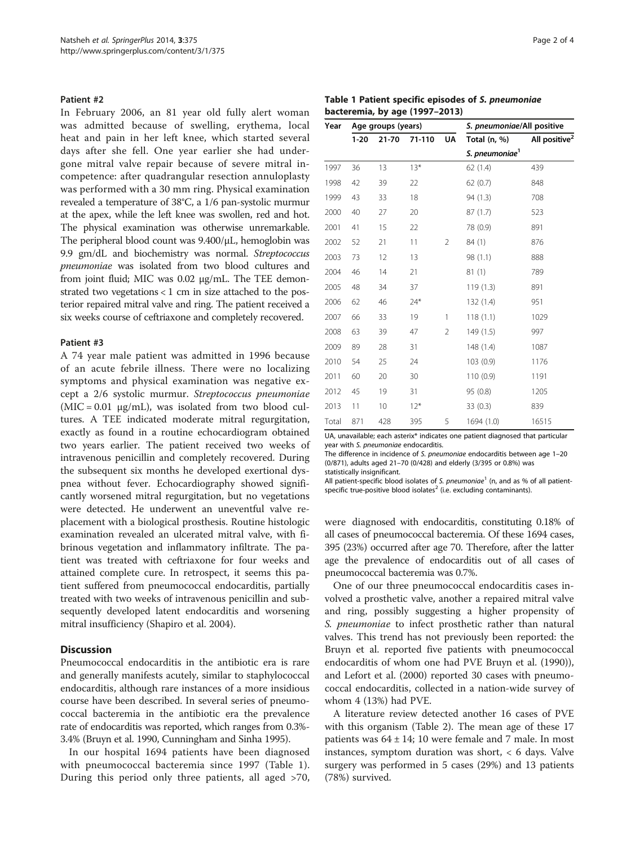#### Patient #2

In February 2006, an 81 year old fully alert woman was admitted because of swelling, erythema, local heat and pain in her left knee, which started several days after she fell. One year earlier she had undergone mitral valve repair because of severe mitral incompetence: after quadrangular resection annuloplasty was performed with a 30 mm ring. Physical examination revealed a temperature of 38°C, a 1/6 pan-systolic murmur at the apex, while the left knee was swollen, red and hot. The physical examination was otherwise unremarkable. The peripheral blood count was 9.400/μL, hemoglobin was 9.9 gm/dL and biochemistry was normal. Streptococcus pneumoniae was isolated from two blood cultures and from joint fluid; MIC was 0.02 μg/mL. The TEE demonstrated two vegetations < 1 cm in size attached to the posterior repaired mitral valve and ring. The patient received a six weeks course of ceftriaxone and completely recovered.

#### Patient #3

A 74 year male patient was admitted in 1996 because of an acute febrile illness. There were no localizing symptoms and physical examination was negative except a 2/6 systolic murmur. Streptococcus pneumoniae  $(MIC = 0.01 \mu g/mL)$ , was isolated from two blood cultures. A TEE indicated moderate mitral regurgitation, exactly as found in a routine echocardiogram obtained two years earlier. The patient received two weeks of intravenous penicillin and completely recovered. During the subsequent six months he developed exertional dyspnea without fever. Echocardiography showed significantly worsened mitral regurgitation, but no vegetations were detected. He underwent an uneventful valve replacement with a biological prosthesis. Routine histologic examination revealed an ulcerated mitral valve, with fibrinous vegetation and inflammatory infiltrate. The patient was treated with ceftriaxone for four weeks and attained complete cure. In retrospect, it seems this patient suffered from pneumococcal endocarditis, partially treated with two weeks of intravenous penicillin and subsequently developed latent endocarditis and worsening mitral insufficiency (Shapiro et al. [2004\)](#page-3-0).

#### **Discussion**

Pneumococcal endocarditis in the antibiotic era is rare and generally manifests acutely, similar to staphylococcal endocarditis, although rare instances of a more insidious course have been described. In several series of pneumococcal bacteremia in the antibiotic era the prevalence rate of endocarditis was reported, which ranges from 0.3%- 3.4% (Bruyn et al. [1990](#page-3-0), Cunningham and Sinha [1995](#page-3-0)).

In our hospital 1694 patients have been diagnosed with pneumococcal bacteremia since 1997 (Table 1). During this period only three patients, all aged >70,

|  |                                | Table 1 Patient specific episodes of S. pneumoniae |
|--|--------------------------------|----------------------------------------------------|
|  | bacteremia, by age (1997–2013) |                                                    |

| Year  |        | Age groups (years) |        |                | S. pneumoniae/All positive |                           |  |  |
|-------|--------|--------------------|--------|----------------|----------------------------|---------------------------|--|--|
|       | $1-20$ | 21-70              | 71-110 | UA             | Total (n, %)               | All positive <sup>2</sup> |  |  |
|       |        |                    |        |                | S. pneumoniae <sup>1</sup> |                           |  |  |
| 1997  | 36     | 13                 | $13*$  |                | 62(1.4)                    | 439                       |  |  |
| 1998  | 42     | 39                 | 22     |                | 62(0.7)                    | 848                       |  |  |
| 1999  | 43     | 33                 | 18     |                | 94 (1.3)                   | 708                       |  |  |
| 2000  | 40     | 27                 | 20     |                | 87(1.7)                    | 523                       |  |  |
| 2001  | 41     | 15                 | 22     |                | 78 (0.9)                   | 891                       |  |  |
| 2002  | 52     | 21                 | 11     | $\overline{2}$ | 84 (1)                     | 876                       |  |  |
| 2003  | 73     | 12                 | 13     |                | 98 (1.1)                   | 888                       |  |  |
| 2004  | 46     | 14                 | 21     |                | 81(1)                      | 789                       |  |  |
| 2005  | 48     | 34                 | 37     |                | 119(1.3)                   | 891                       |  |  |
| 2006  | 62     | 46                 | $24*$  |                | 132 (1.4)                  | 951                       |  |  |
| 2007  | 66     | 33                 | 19     | 1              | 118(1.1)                   | 1029                      |  |  |
| 2008  | 63     | 39                 | 47     | $\overline{2}$ | 149(1.5)                   | 997                       |  |  |
| 2009  | 89     | 28                 | 31     |                | 148(1.4)                   | 1087                      |  |  |
| 2010  | 54     | 25                 | 24     |                | 103(0.9)                   | 1176                      |  |  |
| 2011  | 60     | 20                 | 30     |                | 110(0.9)                   | 1191                      |  |  |
| 2012  | 45     | 19                 | 31     |                | 95 (0.8)                   | 1205                      |  |  |
| 2013  | 11     | 10                 | $12*$  |                | 33(0.3)                    | 839                       |  |  |
| Total | 871    | 428                | 395    | 5              | 1694 (1.0)                 | 16515                     |  |  |

UA, unavailable; each asterix\* indicates one patient diagnosed that particular year with S. pneumoniae endocarditis.<br>The difference in incidence of S. nneu

The difference in incidence of S. pneumoniae endocarditis between age 1–20<br>(0/871) adults aged 21–70 (0/428) and elderly (3/395 or 0.8%) was (0/871), adults aged 21–70 (0/428) and elderly (3/395 or 0.8%) was statistically insignificant.

All patient-specific blood isolates of S. pneumoniae<sup>1</sup> (n, and as % of all patientspecific true-positive blood isolates<sup>2</sup> (i.e. excluding contaminants).

were diagnosed with endocarditis, constituting 0.18% of all cases of pneumococcal bacteremia. Of these 1694 cases, 395 (23%) occurred after age 70. Therefore, after the latter age the prevalence of endocarditis out of all cases of pneumococcal bacteremia was 0.7%.

One of our three pneumococcal endocarditis cases involved a prosthetic valve, another a repaired mitral valve and ring, possibly suggesting a higher propensity of S. *pneumoniae* to infect prosthetic rather than natural valves. This trend has not previously been reported: the Bruyn et al. reported five patients with pneumococcal endocarditis of whom one had PVE Bruyn et al. [\(1990](#page-3-0))), and Lefort et al. [\(2000\)](#page-3-0) reported 30 cases with pneumococcal endocarditis, collected in a nation-wide survey of whom 4 (13%) had PVE.

A literature review detected another 16 cases of PVE with this organism (Table [2](#page-2-0)). The mean age of these 17 patients was  $64 \pm 14$ ; 10 were female and 7 male. In most instances, symptom duration was short, < 6 days. Valve surgery was performed in 5 cases (29%) and 13 patients (78%) survived.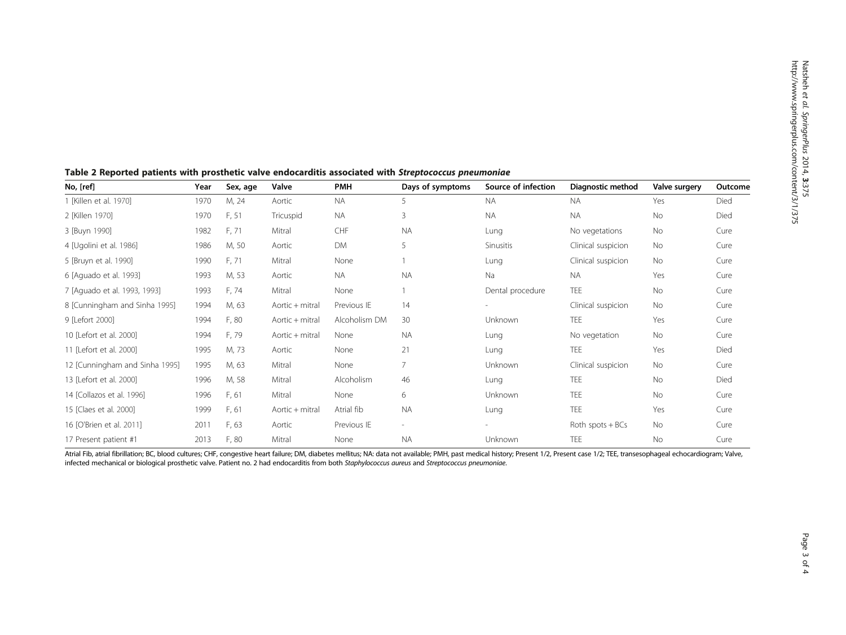| No, [ref]                      | Year | Sex, age | Valve           | <b>PMH</b>    | Days of symptoms | Source of infection      | Diagnostic method  | Valve surgery | Outcome |
|--------------------------------|------|----------|-----------------|---------------|------------------|--------------------------|--------------------|---------------|---------|
| 1 [Killen et al. 1970]         | 1970 | M, 24    | Aortic          | <b>NA</b>     | 5                | <b>NA</b>                | <b>NA</b>          | Yes           | Died    |
| 2 [Killen 1970]                | 1970 | F, 51    | Tricuspid       | <b>NA</b>     | 3                | <b>NA</b>                | <b>NA</b>          | No            | Died    |
| 3 [Buyn 1990]                  | 1982 | F, 71    | Mitral          | CHF           | <b>NA</b>        | Lung                     | No vegetations     | No            | Cure    |
| 4 [Ugolini et al. 1986]        | 1986 | M, 50    | Aortic          | <b>DM</b>     | 5                | <b>Sinusitis</b>         | Clinical suspicion | <b>No</b>     | Cure    |
| 5 [Bruyn et al. 1990]          | 1990 | F, 71    | Mitral          | None          |                  | Lung                     | Clinical suspicion | <b>No</b>     | Cure    |
| 6 [Aguado et al. 1993]         | 1993 | M, 53    | Aortic          | <b>NA</b>     | <b>NA</b>        | Na                       | <b>NA</b>          | Yes           | Cure    |
| 7 [Aquado et al. 1993, 1993]   | 1993 | F, 74    | Mitral          | None          |                  | Dental procedure         | TEE                | <b>No</b>     | Cure    |
| 8 [Cunningham and Sinha 1995]  | 1994 | M, 63    | Aortic + mitral | Previous IE   | 14               | $\overline{\phantom{0}}$ | Clinical suspicion | No            | Cure    |
| 9 [Lefort 2000]                | 1994 | F, 80    | Aortic + mitral | Alcoholism DM | 30               | Unknown                  | TEE                | Yes           | Cure    |
| 10 [Lefort et al. 2000]        | 1994 | F, 79    | Aortic + mitral | None          | <b>NA</b>        | Lung                     | No vegetation      | No            | Cure    |
| 11 [Lefort et al. 2000]        | 1995 | M, 73    | Aortic          | None          | 21               | Lung                     | TEE                | Yes           | Died    |
| 12 [Cunningham and Sinha 1995] | 1995 | M, 63    | Mitral          | None          | 7                | <b>Unknown</b>           | Clinical suspicion | <b>No</b>     | Cure    |
| 13 [Lefort et al. 2000]        | 1996 | M, 58    | Mitral          | Alcoholism    | 46               | Lung                     | TEE                | No            | Died    |
| 14 [Collazos et al. 1996]      | 1996 | F, 61    | Mitral          | None          | 6                | Unknown                  | <b>TEE</b>         | <b>No</b>     | Cure    |
| 15 [Claes et al. 2000]         | 1999 | F, 61    | Aortic + mitral | Atrial fib    | <b>NA</b>        | Lung                     | <b>TEE</b>         | Yes           | Cure    |
| 16 [O'Brien et al. 2011]       | 2011 | F, 63    | Aortic          | Previous IE   | $\sim$           |                          | Roth spots $+BCs$  | <b>No</b>     | Cure    |
| 17 Present patient #1          | 2013 | F, 80    | Mitral          | None          | <b>NA</b>        | Unknown                  | <b>TEE</b>         | <b>No</b>     | Cure    |

<span id="page-2-0"></span>Table 2 Reported patients with prosthetic valve endocarditis associated with Streptococcus pneumoniae

Atrial Fib, atrial fibrillation; BC, blood cultures; CHF, congestive heart failure; DM, diabetes mellitus; NA: data not available; PMH, past medical history; Present 1/2, Present 1/2, Present case 1/2; TEE, transesophageal infected mechanical or biological prosthetic valve. Patient no. 2 had endocarditis from both Staphylococcus aureus and Streptococcus pneumoniae.